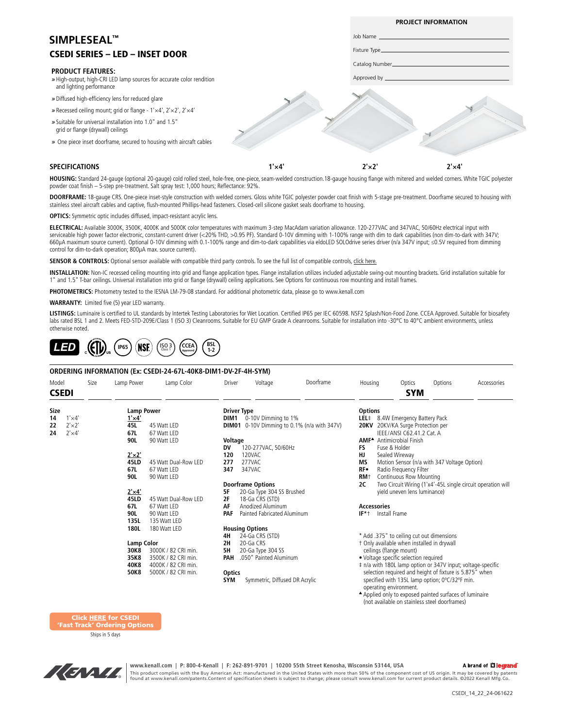# CSEDI SERIES – LED – INSET DOOR **SIMPLESEAL™**

#### **PRODUCT FEATURES:**

- *»* High-output, high-CRI LED lamp sources for accurate color rendition and lighting performance
- *»* Diffused high-efficiency lens for reduced glare
- *»* Recessed ceiling mount; grid or flange 1'×4', 2'×2', 2'×4'
- *»* Suitable for universal installation into 1.0" and 1.5" grid or flange (drywall) ceilings
- *»* One piece inset doorframe, secured to housing with aircraft cables

#### **SPECIFICATIONS**

**1'×4' 2'×2' 2'×4'**

**PROJECT INFORMATION**

Job Name Fixture Type Catalog Number Approved by

**HOUSING:** Standard 24-gauge (optional 20-gauge) cold rolled steel, hole-free, one-piece, seam-welded construction.18-gauge housing flange with mitered and welded corners. White TGIC polyester powder coat finish – 5-step pre-treatment. Salt spray test: 1,000 hours; Reflectance: 92%.

**DOORFRAME:** 18-gauge CRS. One-piece inset-style construction with welded corners. Gloss white TGIC polyester powder coat finish with 5-stage pre-treatment. Doorframe secured to housing with stainless steel aircraft cables and captive, flush-mounted Phillips-head fasteners. Closed-cell silicone gasket seals doorframe to housing.

**OPTICS:** Symmetric optic includes diffused, impact-resistant acrylic lens.

**ELECTRICAL:** Available 3000K, 3500K, 4000K and 5000K color temperatures with maximum 3-step MacAdam variation allowance. 120-277VAC and 347VAC, 50/60Hz electrical input with serviceable high power factor electronic, constant-current driver (<20% THD, >0.95 PF). Standard 0-10V dimming with 1-100% range with dim to dark capabilities (non dim-to-dark with 347V; 660µA maximum source current). Optional 0-10V dimming with 0.1-100% range and dim-to-dark capabilities via eldoLED SOLOdrive series driver (n/a 347V input; ≤0.5V required from dimming control for dim-to-dark operation; 800µA max. source current).

SENSOR & CONTROLS: Optional sensor available with compatible third party controls. To see the full list of compatible controls, [click here.](https://kenall.com/Third-Party-Controls)

**INSTALLATION:** Non-IC recessed ceiling mounting into grid and flange application types. Flange installation utilizes included adjustable swing-out mounting brackets. Grid installation suitable for 1" and 1.5" T-bar ceilings. Universal installation into grid or flange (drywall) ceiling applications. See Options for continuous row mounting and install frames.

**PHOTOMETRICS:** Photometry tested to the IESNA LM-79-08 standard. For additional photometric data, please go to www.kenall.com

**WARRANTY:** Limited five (5) year LED warranty.

**LISTINGS:** Luminaire is certified to UL standards by Intertek Testing Laboratories for Wet Location. Certified IP65 per IEC 60598. NSF2 Splash/Non-Food Zone. CCEA Approved. Suitable for biosafety labs rated BSL 1 and 2. Meets FED-STD-209E/Class 1 (ISO 3) Cleanrooms. Suitable for EU GMP Grade A cleanrooms. Suitable for installation into -30°C to 40°C ambient environments, unless otherwise noted.



#### **ORDERING INFORMATION (Ex: CSEDI-24-67L-40K8-DIM1-DV-2F-4H-SYM)**

| Model                |                | Size | Lamp Power        | Lamp Color           | Driver                          | Voltage                        | Doorframe                                          | Housing                          | Optics                                                                                                                                                                                             | Options | Accessories                                                 |
|----------------------|----------------|------|-------------------|----------------------|---------------------------------|--------------------------------|----------------------------------------------------|----------------------------------|----------------------------------------------------------------------------------------------------------------------------------------------------------------------------------------------------|---------|-------------------------------------------------------------|
| <b>CSEDI</b>         |                |      |                   |                      |                                 |                                |                                                    |                                  | <b>SYM</b>                                                                                                                                                                                         |         |                                                             |
| Size                 |                |      | <b>Lamp Power</b> |                      |                                 | <b>Driver Type</b>             |                                                    | <b>Options</b>                   |                                                                                                                                                                                                    |         |                                                             |
| $1' \times 4'$<br>14 |                |      | $1' \times 4'$    |                      | <b>DIM1</b> 0-10V Dimming to 1% |                                |                                                    | LEL# 8.4W Emergency Battery Pack |                                                                                                                                                                                                    |         |                                                             |
| 22                   | $2' \times 2'$ |      | 45L               | 45 Watt LED          |                                 |                                | <b>DIM01</b> 0-10V Dimming to 0.1% (n/a with 347V) |                                  | 20KV 20KV/KA Surge Protection per                                                                                                                                                                  |         |                                                             |
| 24                   | $2' \times 4'$ |      | 67L               | 67 Watt LED          |                                 |                                |                                                    |                                  | IEEE/ANSI C62.41.2 Cat. A                                                                                                                                                                          |         |                                                             |
|                      |                |      | 90L               | 90 Watt LED          | Voltage                         |                                |                                                    |                                  | <b>AMF<sup>▲</sup></b> Antimicrobial Finish                                                                                                                                                        |         |                                                             |
|                      |                |      |                   |                      | DV                              | 120-277VAC, 50/60Hz            |                                                    | FS                               | Fuse & Holder                                                                                                                                                                                      |         |                                                             |
|                      |                |      | $2' \times 2'$    |                      | 120                             | 120VAC                         |                                                    | HJ                               | Sealed Wireway                                                                                                                                                                                     |         |                                                             |
|                      |                |      | 45LD              | 45 Watt Dual-Row LED | 277                             | 277VAC                         |                                                    | <b>MS</b>                        | Motion Sensor (n/a with 347 Voltage Option)                                                                                                                                                        |         |                                                             |
|                      |                |      | 67L               | 67 Watt LED          | 347                             | 347VAC                         |                                                    | RF∙                              | Radio Frequency Filter                                                                                                                                                                             |         |                                                             |
|                      |                |      | 90L               | 90 Watt LED          |                                 |                                |                                                    | RM <sup>+</sup>                  | Continuous Row Mounting                                                                                                                                                                            |         |                                                             |
|                      |                |      |                   |                      |                                 | <b>Doorframe Options</b>       |                                                    | 2C                               |                                                                                                                                                                                                    |         | Two Circuit Wiring (1'x4'-45L single circuit operation will |
|                      |                |      | $2' \times 4'$    |                      | 5F                              | 20-Ga Type 304 SS Brushed      |                                                    |                                  | yield uneven lens luminance)                                                                                                                                                                       |         |                                                             |
|                      |                |      | 45LD              | 45 Watt Dual-Row LED | 2F                              | 18-Ga CRS (STD)                |                                                    |                                  |                                                                                                                                                                                                    |         |                                                             |
|                      |                |      | 67L               | 67 Watt LED          | ΑF                              | Anodized Aluminum              |                                                    | <b>Accessories</b>               |                                                                                                                                                                                                    |         |                                                             |
|                      |                |      | 90L               | 90 Watt LED          | <b>PAF</b>                      | Painted Fabricated Aluminum    |                                                    |                                  | <b>IF*</b> t Install Frame                                                                                                                                                                         |         |                                                             |
|                      |                |      | 135L              | 135 Watt LED         |                                 |                                |                                                    |                                  |                                                                                                                                                                                                    |         |                                                             |
|                      |                |      | 180L              | 180 Watt LED         |                                 | <b>Housing Options</b>         |                                                    |                                  |                                                                                                                                                                                                    |         |                                                             |
|                      |                |      |                   |                      | 4H                              | 24-Ga CRS (STD)                |                                                    |                                  | * Add .375" to ceiling cut out dimensions                                                                                                                                                          |         |                                                             |
|                      |                |      | <b>Lamp Color</b> |                      | 2H                              | 20-Ga CRS                      |                                                    |                                  | t Only available when installed in drywall                                                                                                                                                         |         |                                                             |
|                      |                |      | 30K8              | 3000K / 82 CRI min.  | 5H                              | 20-Ga Type 304 SS              |                                                    |                                  | ceilings (flange mount)                                                                                                                                                                            |         |                                                             |
|                      |                |      | 35K8              | 3500K / 82 CRI min.  | PAH                             | .050" Painted Aluminum         |                                                    |                                  | • Voltage specific selection required                                                                                                                                                              |         |                                                             |
|                      |                |      | 40K8              | 4000K / 82 CRI min.  |                                 |                                |                                                    |                                  | # n/a with 180L lamp option or 347V input; voltage-specific                                                                                                                                        |         |                                                             |
|                      |                |      | 50K8              | 5000K / 82 CRI min.  |                                 |                                |                                                    |                                  | selection required and height of fixture is 5.875" when                                                                                                                                            |         |                                                             |
|                      |                |      |                   |                      | <b>Optics</b><br><b>SYM</b>     | Symmetric, Diffused DR Acrylic |                                                    |                                  | specified with 135L lamp option; 0°C/32°F min.<br>operating environment.<br>▲ Washington and the common states and states and all constructions of the continuous continuous continuous continuous |         |                                                             |

pplied only to exposed painted surfaces of luminaire (not available on stainless steel doorframes)

Click HERE for CSEDI ast Track' Ordering Option

Ships in 5 days



**www.kenall.com | P: 800-4-Kenall | F: 262-891-9701 | 10200 55th Street Kenosha, Wisconsin 53144, USA**  A brand of Lilegrand This product complies with the Buy American Act: manufactured in the United States with more than 50% of the component cost of US origin. It may be covered by patents<br>found at www.kenall.com/patents.Content of specificatio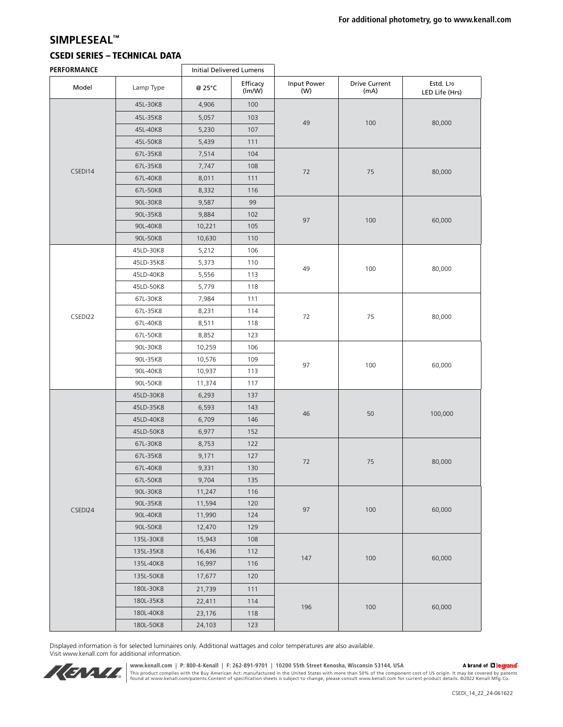## **SIMPLESEAL™**

## CSEDI SERIES – TECHNICAL DATA

| PERFORMANCE |           | <b>Initial Delivered Lumens</b> |                    |                    |                              |                             |  |
|-------------|-----------|---------------------------------|--------------------|--------------------|------------------------------|-----------------------------|--|
| Model       | Lamp Type | @ 25°C                          | Efficacy<br>(lm/W) | Input Power<br>(W) | <b>Drive Current</b><br>(mA) | Estd. L70<br>LED Life (Hrs) |  |
|             | 45L-30K8  | 4,906                           | 100                |                    | 100                          |                             |  |
|             | 45L-35K8  | 5,057                           | 103                | 49                 |                              | 80,000                      |  |
|             | 45L-40K8  | 5,230                           | 107                |                    |                              |                             |  |
|             | 45L-50K8  | 5,439                           | 111                |                    |                              |                             |  |
|             | 67L-35K8  | 7,514                           | 104                | 72                 | 75                           |                             |  |
| CSEDI14     | 67L-35K8  | 7,747                           | 108                |                    |                              | 80,000                      |  |
|             | 67L-40K8  | 8,011                           | 111                |                    |                              |                             |  |
|             | 67L-50K8  | 8,332                           | 116                |                    |                              |                             |  |
|             | 90L-30K8  | 9,587                           | 99                 | 97                 | 100                          | 60,000                      |  |
|             | 90L-35K8  | 9,884                           | 102                |                    |                              |                             |  |
|             | 90L-40K8  | 10,221                          | 105                |                    |                              |                             |  |
|             | 90L-50K8  | 10,630                          | 110                |                    |                              |                             |  |
|             | 45LD-30K8 | 5,212                           | 106                | 49                 | 100                          | 80,000                      |  |
|             | 45LD-35K8 | 5,373                           | 110                |                    |                              |                             |  |
|             | 45LD-40K8 | 5,556                           | 113                |                    |                              |                             |  |
|             | 45LD-50K8 | 5,779                           | 118                |                    |                              |                             |  |
|             | 67L-30K8  | 7,984                           | 111                | $72\,$             | 75                           | 80,000                      |  |
| CSEDI22     | 67L-35K8  | 8,231                           | 114                |                    |                              |                             |  |
|             | 67L-40K8  | 8,511                           | 118                |                    |                              |                             |  |
|             | 67L-50K8  | 8,852                           | 123                |                    |                              |                             |  |
|             | 90L-30K8  | 10,259                          | 106                | 97                 | 100                          | 60,000                      |  |
|             | 90L-35K8  | 10,576                          | 109                |                    |                              |                             |  |
|             | 90L-40K8  | 10,937                          | 113                |                    |                              |                             |  |
|             | 90L-50K8  | 11,374                          | 117                |                    |                              |                             |  |
|             | 45LD-30K8 | 6,293                           | 137                | 46                 | 50                           | 100,000                     |  |
|             | 45LD-35K8 | 6,593                           | 143                |                    |                              |                             |  |
|             | 45LD-40K8 | 6,709                           | 146                |                    |                              |                             |  |
|             | 45LD-50K8 | 6,977                           | 152                |                    |                              |                             |  |
|             | 67L-30K8  | 8,753                           | 122                | 72                 | 75                           |                             |  |
|             | 67L-35K8  | 9,171                           | 127                |                    |                              | 80,000                      |  |
|             | 67L-40K8  | 9,331                           | 130                |                    |                              |                             |  |
|             | 67L-50K8  | 9,704                           | 135                |                    |                              |                             |  |
|             | 90L-30K8  | 11,247                          | 116                | 97                 | $100\,$                      | 60,000                      |  |
| CSEDI24     | 90L-35K8  | 11,594                          | 120                |                    |                              |                             |  |
|             | 90L-40K8  | 11,990                          | 124                |                    |                              |                             |  |
|             | 90L-50K8  | 12,470                          | 129                |                    |                              |                             |  |
|             | 135L-30K8 | 15,943                          | 108                | 147                | 100                          | 60,000                      |  |
|             | 135L-35K8 | 16,436                          | 112                |                    |                              |                             |  |
|             | 135L-40K8 | 16,997                          | 116                |                    |                              |                             |  |
|             | 135L-50K8 | 17,677                          | 120                |                    |                              |                             |  |
|             | 180L-30K8 | 21,739                          | 111                |                    |                              |                             |  |
|             | 180L-35K8 | 22,411                          | 114                | 196                | 100                          |                             |  |
|             | 180L-40K8 | 23,176                          | 118                |                    |                              | 60,000                      |  |
|             | 180L-50K8 | 24,103                          | 123                |                    |                              |                             |  |

Displayed information is for selected luminaires only. Additional wattages and color temperatures are also available. Visit www.kenall.com for additional information.



www.kenall.com | P: 800-4-Kenall | F: 262-891-9701 | 10200 55th Street Kenosha, Wisconsin 53144, USA<br>This product complies with the Buy American Act: manufactured in the United States with more than 50% of the component c